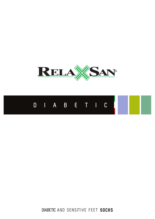



**DIABETIC** AND SENSITIVE FEET **SOCKS**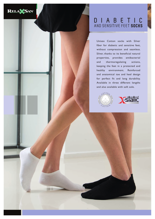

# **DIABETIC** AND SENSITIVE FEET **SOCKS**

Unisex Cotton socks with Silver fiber for diabetic and sensitive feet, without compression and seamless. Silver, thanks to its beneficial natural properties, provides antibacterial and thermoregulating actions, keeping the feet in a protected and healthy environment. Reinforced and anatomical toe and heel design for perfect fit and long durability. Available in three different lengths and also available with soft sole.



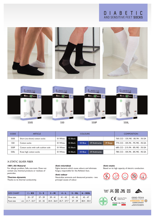# **D I A B E T I C**<br>AND SENSITIVE FEET SOCKS





| <b>CODE</b> | <b>ARTICLE</b>                      | <b>COLOURS</b> |          |         |               |          | <b>COMPOSITION</b>              |
|-------------|-------------------------------------|----------------|----------|---------|---------------|----------|---------------------------------|
| 550S        | Short (no-show) cotton socks        | 01 White       | 02 Black |         |               |          | 76% CO - 13% ME - 8% PA - 3% EA |
| 550         | Cotton socks                        | 01 White       | 02 Black | 03 Blue | 07 Anthracite | 39 Beige | 77% CO - 10% PA - 9% ME - 4% EA |
| 550P        | Cotton socks with soft cushion sole | 01 White       | 02 Black |         |               |          | 68% CO - 21% PA - 8% ME - 3% EA |
| 550L        | Knee high cotton socks              | 01 White       | 02 Black | 03 Blue | 07 Anthracite |          | 78% CO - 10% PA - 8% ME - 4% EA |

# X-STATIC SILVER FIBER

## **100% All-Natural**

For allergic problem. Safe, non-toxic. Does not contain any chemical products or residues of pesticides.

#### **Thermo-dynamic**

Thanks to its thermal conductivity.

#### **Anti-microbial**

Fights bacteria which cause odours and eliminate fungus, responsible for the Athlete's foot.

#### **Anti-odour**

Neutralize ammonia and denatured proteins - two principal causes of odour.

#### **Anti-static**

Based on its high capacity of electric conduction.



| <b>SIZE CHART</b> |  | $I - XS$                                                                                                           | $2 - S$ | $3 - M$ | $4 - L$ | $5 - XL$ $6 - XXL$ |
|-------------------|--|--------------------------------------------------------------------------------------------------------------------|---------|---------|---------|--------------------|
| Shoe size         |  | $35 - 37$                                                                                                          |         |         |         |                    |
| Foot size         |  | cm $\vert$ 21.7 - 23.7 $\vert$ 23 - 25 $\vert$ 24.4 - 26.4 $\vert$ 25.7 - 27.7 $\vert$ 27 - 29 $\vert$ 28.4 - 30.4 |         |         |         |                    |

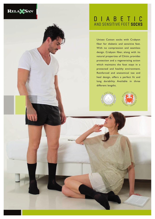

# **DIABETIC** AND SENSITIVE FEET **SOCKS**

Unisex Cotton socks with Crabyon fiber for diabetic and sensitive feet. With no compression and seamless design. Crabyon fiber, along with its natural properties of Chitin, provides protection and a regenerating action which maintains the foot stays in a protected and healthy environment. Reinforced and anatomical toe and heel design, offers a perfect fit and long durability. Available in three different lengths.



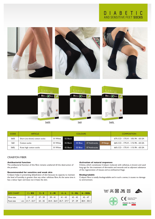# **D I A B E T I C**<br>AND SENSITIVE FEET SOCKS





560S 560 560L

| <b>CODE</b> | <b>ARTICLE</b>               | <b>COLOURS</b> |          |         |               |          | <b>COMPOSITION</b>               |
|-------------|------------------------------|----------------|----------|---------|---------------|----------|----------------------------------|
| 560S        | Short (no-show) cotton socks | 01 White       | 02 Black |         |               |          | 67% CO - 17% VI - 10% PA - 6% EA |
| 560         | Cotton socks                 | 01 White       | 02 Black | 03 Blue | 07 Anthracite | 39 Beige | 66% CO - 17% VI - 11% PA - 6% EA |
| 560L        | Knee high cotton socks       | 01 White       | 02 Black | 03 Blue | 07 Anthracite |          | 66% CO - 17% VI - 11% PA - 6% EA |

# CRABYON FIBER

# **Antibacterial function**

The antibacterial function of this fibre remains unaltered till the destruction of the product.

## **Recommended for sensitive and weak skin**

Crabyon helps in preventing dehydration of skin because its capacity to maintain the level of humidity is greater than any other cellulose fibre. At the same time it has a velour layer and does not irritate the skin.

#### **Activation of natural responses**

Chitine, which constitutes Crabyon molecule with cellulose, is known and used long ago for the treatment of dermatitis and wounds and as adjuvant substance of the regeneration of tissues and as antihaemorrhage.

### **Biodegradable**

Crabyon fibre is totally biodegradable and in such a sense, it causes no damage to environment.

| <b>SIZE CHART</b> |  | $1 - XS$ | $2-S$ | $3 - M$ |                                                           | $4 - L$ 5 - XL 6 - XXL |                                                                                                                                                                       |
|-------------------|--|----------|-------|---------|-----------------------------------------------------------|------------------------|-----------------------------------------------------------------------------------------------------------------------------------------------------------------------|
| Shoe size         |  |          |       |         | $35-37$   $37-39$   $39-41$   $41-43$   $43-45$   $45-47$ |                        |                                                                                                                                                                       |
| Foot size         |  |          |       |         |                                                           |                        | cm $\begin{vmatrix} 21.7 & -23.7 \end{vmatrix}$ 23 - 25 $\begin{vmatrix} 24.4 & -26.4 \end{vmatrix}$ 25.7 - 27.7 $\begin{vmatrix} 27 & -29 \end{vmatrix}$ 28.4 - 30.4 |

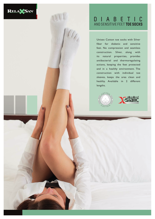

# **DIABETIC** AND SENSITIVE FEET **TOE SOCKS**

Unisex Cotton toe socks with Silver fiber for diabetic and sensitive feet. No compression and seamless construction. Silver, along with its natural properties, provides antibacterial and thermoregulating actions, keeping the feet protected and in a healthy environment. The construction with individual toe sleeves, keeps the area clean and healthy. Available in 2 different lengths.



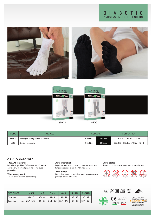# **DIABETIC** AND SENSITIVE FEET **TOE SOCKS**







650CS 650C

| <b>CODE</b> | <b>ARTICLE</b>                   | <b>COLOURS</b> |          | <b>COMPOSITION</b>              |  |  |
|-------------|----------------------------------|----------------|----------|---------------------------------|--|--|
| 650CS       | Short (no-show) cotton toe socks | 01 White       | 02 Black | 87% CO - 8% EA - 5% ME          |  |  |
| 650C        | Cotton toe socks                 | 01 White       | 02 Black | 83% CO - 11% EA - 3% PA - 3% ME |  |  |

## X-STATIC SILVER FIBER

### **100% All-Natural**

For allergic problem. Safe, non-toxic. Does not contain any chemical products or residues of pesticides.

#### **Thermo-dynamic**

Thanks to its thermal conductivity.

#### **Anti-microbial**

Fights bacteria which cause odours and eliminate fungus, responsible for the Athlete's foot.

#### **Anti-odour**

Neutralize ammonia and denatured proteins - two principal causes of odour.

#### **Anti-static**

Based on its high capacity of electric conduction.



| <b>SIZE CHART</b> |  | $I - XS$                                                                       |  | $2-S$ 3-M 4-L 5-XL 6-XXL                                              |  |
|-------------------|--|--------------------------------------------------------------------------------|--|-----------------------------------------------------------------------|--|
| Shoe size         |  |                                                                                |  | $35 - 37$   $37 - 39$   $39 - 41$   $41 - 43$   $43 - 45$   $45 - 47$ |  |
| Foot size         |  | cm   21.7 - 23.7   23 - 25   24.4 - 26.4   25.7 - 27.7   27 - 29   28.4 - 30.4 |  |                                                                       |  |